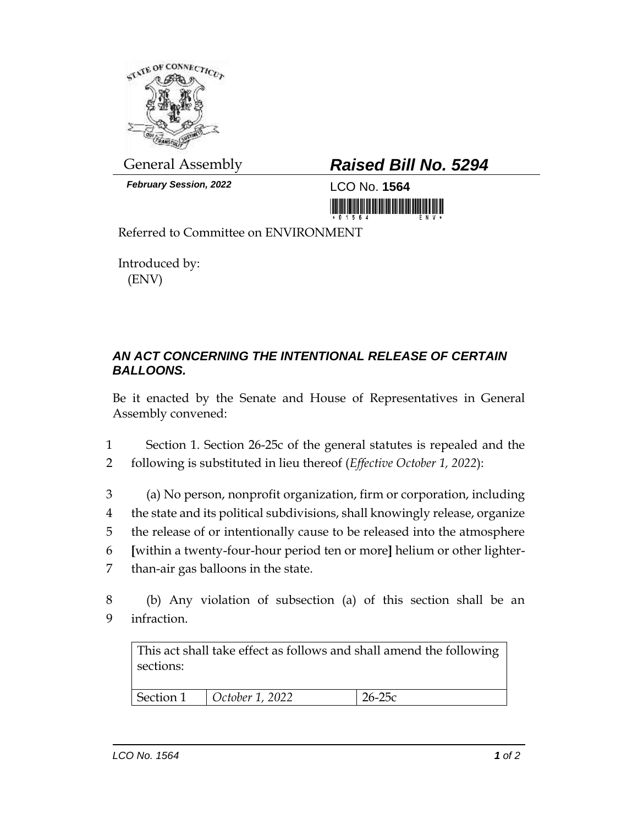

*February Session, 2022* LCO No. **1564**

## General Assembly *Raised Bill No. 5294*

<u> III di kacamatan ing Kabupatèn III di Kabupatèn III di Kabupatèn III di Kabupatèn III di Kabupatèn III di Kabu</u>

Referred to Committee on ENVIRONMENT

Introduced by: (ENV)

## *AN ACT CONCERNING THE INTENTIONAL RELEASE OF CERTAIN BALLOONS.*

Be it enacted by the Senate and House of Representatives in General Assembly convened:

1 Section 1. Section 26-25c of the general statutes is repealed and the 2 following is substituted in lieu thereof (*Effective October 1, 2022*):

 (a) No person, nonprofit organization, firm or corporation, including the state and its political subdivisions, shall knowingly release, organize the release of or intentionally cause to be released into the atmosphere **[**within a twenty-four-hour period ten or more**]** helium or other lighter-than-air gas balloons in the state.

8 (b) Any violation of subsection (a) of this section shall be an 9 infraction.

This act shall take effect as follows and shall amend the following sections:

| Section 1 | $\vert$ October 1, 2022 | $\bigcap_{i=1}^n$ |
|-----------|-------------------------|-------------------|
|           |                         |                   |